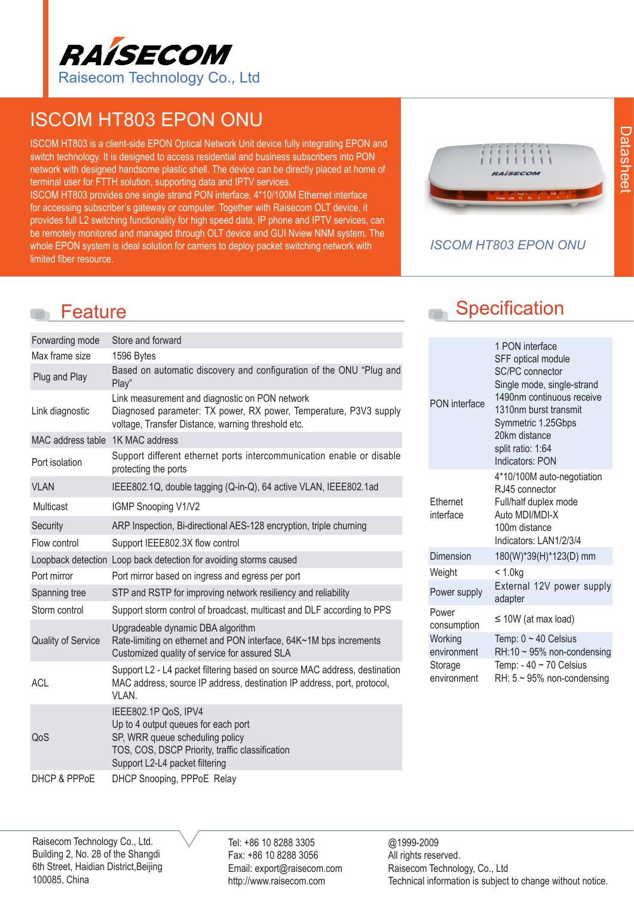

# ISCOM HT803 EPON ONU

ISCOM HT803 is a client-side EPON Optical Network Unit device fully integrating EPON and switch technology. It is designed to access residential and business subscribers into PON network with designed handsome plastic shell. The device can be directly placed at home of terminal user for FTTH solution, supporting data and IPTV services. ISCOM HT803 provides one single strand PON interface, 4\*10/100M Ethernet interface for accessing subscriber's gateway or computer. Together with Raisecom OLT device, it provides full L2 switching functionality for high speed data, IP phone and IPTV services, can be remotely monitored and managed through OLT device and GUI Nview NNM system. The whole EPON system is ideal solution for carriers to deploy packet switching network with limited fiber resource.



#### *ISCOM HT803 EPON ONU*

| Forwarding mode                  | Store and forward                                                                                                                                                                   |
|----------------------------------|-------------------------------------------------------------------------------------------------------------------------------------------------------------------------------------|
| Max frame size                   | 1596 Bytes                                                                                                                                                                          |
| Plug and Play                    | Based on automatic discovery and configuration of the ONU "Plug and<br>Play"                                                                                                        |
| Link diagnostic                  | Link measurement and diagnostic on PON network<br>Diagnosed parameter: TX power, RX power, Temperature, P3V3 supply<br>voltage, Transfer Distance, warning threshold etc.           |
| MAC address table 1K MAC address |                                                                                                                                                                                     |
| Port isolation                   | Support different ethernet ports intercommunication enable or disable<br>protecting the ports                                                                                       |
| <b>VLAN</b>                      | IEEE802.1Q, double tagging (Q-in-Q), 64 active VLAN, IEEE802.1ad                                                                                                                    |
| Multicast                        | IGMP Snooping V1/V2                                                                                                                                                                 |
| Security                         | ARP Inspection, Bi-directional AES-128 encryption, triple churning                                                                                                                  |
| Flow control                     | Support IEEE802.3X flow control                                                                                                                                                     |
|                                  | Loopback detection Loop back detection for avoiding storms caused                                                                                                                   |
| Port mirror                      | Port mirror based on ingress and egress per port                                                                                                                                    |
| Spanning tree                    | STP and RSTP for improving network resiliency and reliability                                                                                                                       |
| Storm control                    | Support storm control of broadcast, multicast and DLF according to PPS                                                                                                              |
| <b>Quality of Service</b>        | Upgradeable dynamic DBA algorithm<br>Rate-limiting on ethernet and PON interface, 64K~1M bps increments<br>Customized quality of service for assured SLA                            |
| <b>ACL</b>                       | Support L2 - L4 packet filtering based on source MAC address, destination<br>MAC address, source IP address, destination IP address, port, protocol,<br>VLAN.                       |
| QoS                              | IEEE802.1P QoS, IPV4<br>Up to 4 output queues for each port<br>SP, WRR queue scheduling policy<br>TOS, COS, DSCP Priority, traffic classification<br>Support L2-L4 packet filtering |
| <b>DHCP &amp; PPPOE</b>          | DHCP Snooping, PPPoE Relay                                                                                                                                                          |

# Feature Specification

| PON interface          | 1 PON interface<br>SFF optical module<br><b>SC/PC</b> connector<br>Single mode, single-strand<br>1490nm continuous receive<br>1310nm burst transmit<br>Symmetric 1.25Gbps<br>20km distance<br>split ratio: 1:64<br>Indicators: PON |  |  |  |
|------------------------|------------------------------------------------------------------------------------------------------------------------------------------------------------------------------------------------------------------------------------|--|--|--|
| Ethernet<br>interface  | 4*10/100M auto-negotiation<br>RJ45 connector<br>Full/half duplex mode<br>Auto MDI/MDI-X<br>100m distance<br>Indicators: LAN1/2/3/4                                                                                                 |  |  |  |
| Dimension              | 180(W)*39(H)*123(D) mm                                                                                                                                                                                                             |  |  |  |
| Weight                 | < 1.0kg                                                                                                                                                                                                                            |  |  |  |
| Power supply           | External 12V power supply<br>adapter                                                                                                                                                                                               |  |  |  |
| Power<br>consumption   | $\leq$ 10W (at max load)                                                                                                                                                                                                           |  |  |  |
| Working<br>environment | Temp: $0 \sim 40$ Celsius<br>$RH:10 \sim 95\%$ non-condensing                                                                                                                                                                      |  |  |  |
| Storage<br>environment | Temp: - $40 \sim 70$ Celsius<br>RH: $5 \sim 95\%$ non-condensing                                                                                                                                                                   |  |  |  |

Raisecom Technology Co., Ltd. Building 2, No. 28 of the Shangdi 6th Street, Haidian District,Beijing 100085, China

Tel: +86 10 8288 3305 Fax: +86 10 8288 3056 Email: export@raisecom.com http://www.raisecom.com

@1999-2009 All rights reserved. Raisecom Technology, Co., Ltd Technical information is subject to change without notice.